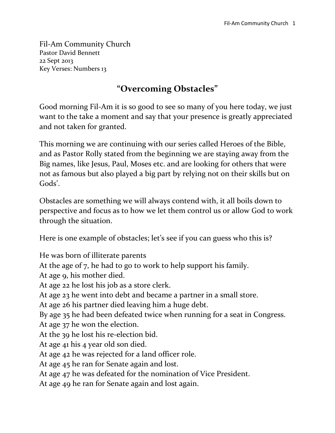Fil-Am Community Church Pastor David Bennett 22 Sept 2013 Key Verses: Numbers 13

## **"Overcoming Obstacles"**

Good morning Fil-Am it is so good to see so many of you here today, we just want to the take a moment and say that your presence is greatly appreciated and not taken for granted.

This morning we are continuing with our series called Heroes of the Bible, and as Pastor Rolly stated from the beginning we are staying away from the Big names, like Jesus, Paul, Moses etc. and are looking for others that were not as famous but also played a big part by relying not on their skills but on Gods'.

Obstacles are something we will always contend with, it all boils down to perspective and focus as to how we let them control us or allow God to work through the situation.

Here is one example of obstacles; let's see if you can guess who this is?

He was born of illiterate parents

At the age of 7, he had to go to work to help support his family.

At age 9, his mother died.

At age 22 he lost his job as a store clerk.

At age 23 he went into debt and became a partner in a small store.

At age 26 his partner died leaving him a huge debt.

By age 35 he had been defeated twice when running for a seat in Congress.

At age 37 he won the election.

At the 39 he lost his re-election bid.

At age 41 his 4 year old son died.

At age 42 he was rejected for a land officer role.

At age 45 he ran for Senate again and lost.

At age 47 he was defeated for the nomination of Vice President.

At age 49 he ran for Senate again and lost again.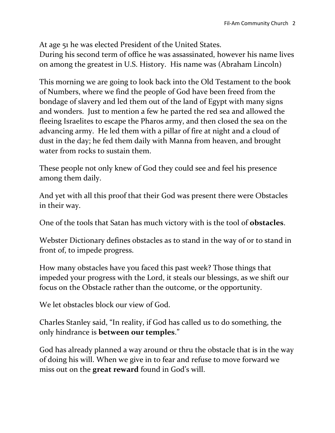At age 51 he was elected President of the United States. During his second term of office he was assassinated, however his name lives on among the greatest in U.S. History. His name was (Abraham Lincoln)

This morning we are going to look back into the Old Testament to the book of Numbers, where we find the people of God have been freed from the bondage of slavery and led them out of the land of Egypt with many signs and wonders. Just to mention a few he parted the red sea and allowed the fleeing Israelites to escape the Pharos army, and then closed the sea on the advancing army. He led them with a pillar of fire at night and a cloud of dust in the day; he fed them daily with Manna from heaven, and brought water from rocks to sustain them.

These people not only knew of God they could see and feel his presence among them daily.

And yet with all this proof that their God was present there were Obstacles in their way.

One of the tools that Satan has much victory with is the tool of **obstacles**.

Webster Dictionary defines obstacles as to stand in the way of or to stand in front of, to impede progress.

How many obstacles have you faced this past week? Those things that impeded your progress with the Lord, it steals our blessings, as we shift our focus on the Obstacle rather than the outcome, or the opportunity.

We let obstacles block our view of God.

Charles Stanley said, "In reality, if God has called us to do something, the only hindrance is **between our temples**."

God has already planned a way around or thru the obstacle that is in the way of doing his will. When we give in to fear and refuse to move forward we miss out on the **great reward** found in God's will.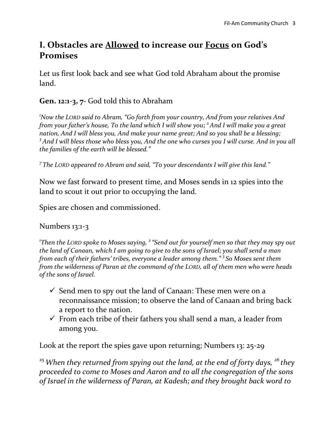## **I. Obstacles are Allowed to increase our Focus on God's Promises**

Let us first look back and see what God told Abraham about the promise land.

#### **Gen. 12:1-3, 7-** God told this to Abraham

*<sup>1</sup>Now the LORD said to Abram, "Go forth from your country, And from your relatives And from your father's house, To the land which I will show you; <sup>2</sup>And I will make you a great nation, And I will bless you, And make your name great; And so you shall be a blessing; <sup>3</sup>And I will bless those who bless you, And the one who curses you I will curse. And in you all the families of the earth will be blessed."* 

*7 The LORD appeared to Abram and said, "To your descendants I will give this land."* 

Now we fast forward to present time, and Moses sends in 12 spies into the land to scout it out prior to occupying the land.

Spies are chosen and commissioned.

Numbers 13:1-3

*1 Then the LORD spoke to Moses saying, <sup>2</sup> "Send out for yourself men so that they may spy out the land of Canaan, which I am going to give to the sons of Israel; you shall send a man from each of their fathers' tribes, everyone a leader among them." <sup>3</sup> So Moses sent them from the wilderness of Paran at the command of the LORD, all of them men who were heads of the sons of Israel.*

- $\checkmark$  Send men to spy out the land of Canaan: These men were on a reconnaissance mission; to observe the land of Canaan and bring back a report to the nation.
- $\checkmark$  From each tribe of their fathers you shall send a man, a leader from among you.

Look at the report the spies gave upon returning; Numbers 13: 25-29

<sup>25</sup>*When they returned from spying out the land, at the end of forty days, <sup>26</sup> they proceeded to come to Moses and Aaron and to all the congregation of the sons of Israel in the wilderness of Paran, at Kadesh; and they brought back word to*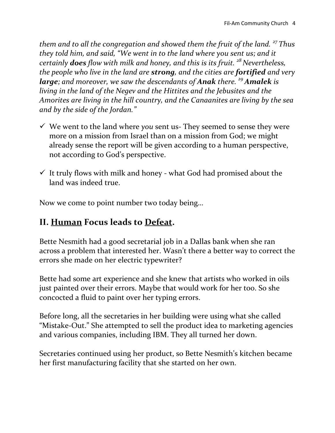*them and to all the congregation and showed them the fruit of the land. <sup>27</sup> Thus they told him, and said, "We went in to the land where you sent us; and it certainly does flow with milk and honey, and this is its fruit. <sup>28</sup> Nevertheless, the people who live in the land are strong, and the cities are fortified and very large; and moreover, we saw the descendants of Anak there. <sup>29</sup>Amalek is living in the land of the Negev and the Hittites and the Jebusites and the Amorites are living in the hill country, and the Canaanites are living by the sea and by the side of the Jordan."*

- We went to the land where *you* sent us- They seemed to sense they were more on a mission from Israel than on a mission from God; we might already sense the report will be given according to a human perspective, not according to God's perspective.
- $\checkmark$  It truly flows with milk and honey what God had promised about the land was indeed true.

Now we come to point number two today being…

# **II. Human Focus leads to Defeat.**

Bette Nesmith had a good secretarial job in a Dallas bank when she ran across a problem that interested her. Wasn't there a better way to correct the errors she made on her electric typewriter?

Bette had some art experience and she knew that artists who worked in oils just painted over their errors. Maybe that would work for her too. So she concocted a fluid to paint over her typing errors.

Before long, all the secretaries in her building were using what she called "Mistake-Out." She attempted to sell the product idea to marketing agencies and various companies, including IBM. They all turned her down.

Secretaries continued using her product, so Bette Nesmith's kitchen became her first manufacturing facility that she started on her own.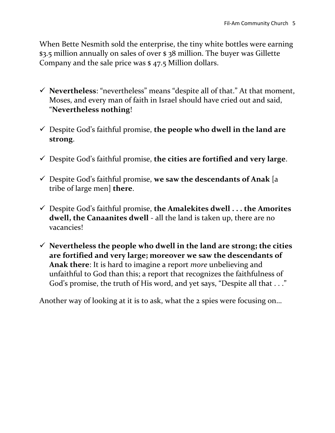When Bette Nesmith sold the enterprise, the tiny white bottles were earning \$3.5 million annually on sales of over \$ 38 million. The buyer was Gillette Company and the sale price was \$ 47.5 Million dollars.

- **Nevertheless**: "nevertheless" means "despite all of that." At that moment, Moses, and every man of faith in Israel should have cried out and said, "**Nevertheless nothing**!
- Despite God's faithful promise, **the people who dwell in the land are strong**.
- Despite God's faithful promise, **the cities are fortified and very large**.
- Despite God's faithful promise, **we saw the descendants of Anak** [a tribe of large men] **there**.
- Despite God's faithful promise, **the Amalekites dwell . . . the Amorites dwell, the Canaanites dwell** - all the land is taken up, there are no vacancies!
- $\checkmark$  Nevertheless the people who dwell in the land are strong; the cities **are fortified and very large; moreover we saw the descendants of Anak there**: It is hard to imagine a report *more* unbelieving and unfaithful to God than this; a report that recognizes the faithfulness of God's promise, the truth of His word, and yet says, "Despite all that . . ."

Another way of looking at it is to ask, what the 2 spies were focusing on…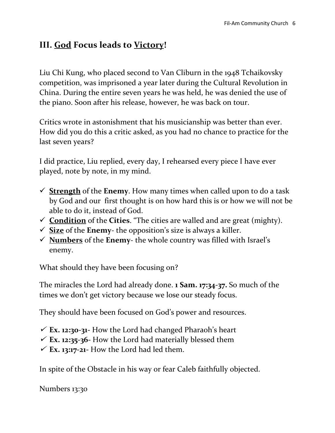## **III. God Focus leads to Victory!**

Liu Chi Kung, who placed second to Van Cliburn in the 1948 Tchaikovsky competition, was imprisoned a year later during the Cultural Revolution in China. During the entire seven years he was held, he was denied the use of the piano. Soon after his release, however, he was back on tour.

Critics wrote in astonishment that his musicianship was better than ever. How did you do this a critic asked, as you had no chance to practice for the last seven years?

I did practice, Liu replied, every day, I rehearsed every piece I have ever played, note by note, in my mind.

- $\checkmark$  **Strength** of the **Enemy**. How many times when called upon to do a task by God and our first thought is on how hard this is or how we will not be able to do it, instead of God.
- **Condition** of the **Cities**. "The cities are walled and are great (mighty).
- $\checkmark$  **Size** of the **Enemy** the opposition's size is always a killer.
- $\checkmark$  **Numbers** of the **Enemy** the whole country was filled with Israel's enemy.

What should they have been focusing on?

The miracles the Lord had already done. **1 Sam. 17:34-37.** So much of the times we don't get victory because we lose our steady focus.

They should have been focused on God's power and resources.

- **Ex. 12:30-31-** How the Lord had changed Pharaoh's heart
- **Ex. 12:35-36-** How the Lord had materially blessed them
- **Ex. 13:17-21-** How the Lord had led them.

In spite of the Obstacle in his way or fear Caleb faithfully objected.

Numbers 13:30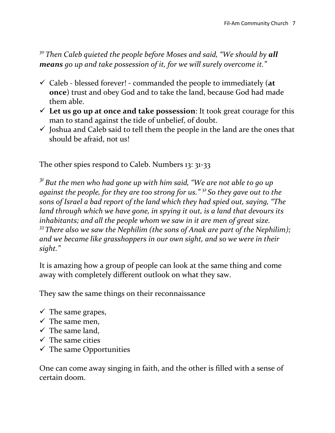<sup>30</sup> Then Caleb quieted the people before Moses and said, "We should by all *means go up and take possession of it, for we will surely overcome it."*

- Caleb blessed forever! commanded the people to immediately (**at once**) trust and obey God and to take the land, because God had made them able.
- **Let us go up at once and take possession**: It took great courage for this man to stand against the tide of unbelief, of doubt.
- $\checkmark$  Joshua and Caleb said to tell them the people in the land are the ones that should be afraid, not us!

The other spies respond to Caleb. Numbers 13: 31-33

*<sup>31</sup> But the men who had gone up with him said, "We are not able to go up against the people, for they are too strong for us." <sup>32</sup> So they gave out to the sons of Israel a bad report of the land which they had spied out, saying, "The land through which we have gone, in spying it out, is a land that devours its inhabitants; and all the people whom we saw in it are men of great size. <sup>33</sup> There also we saw the Nephilim (the sons of Anak are part of the Nephilim); and we became like grasshoppers in our own sight, and so we were in their sight."*

It is amazing how a group of people can look at the same thing and come away with completely different outlook on what they saw.

They saw the same things on their reconnaissance

- $\checkmark$  The same grapes,
- $\checkmark$  The same men,
- $\checkmark$  The same land,
- $\checkmark$  The same cities
- $\checkmark$  The same Opportunities

One can come away singing in faith, and the other is filled with a sense of certain doom.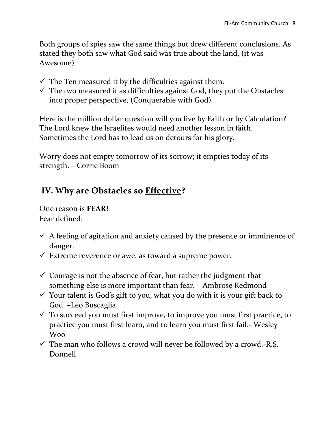Both groups of spies saw the same things but drew different conclusions. As stated they both saw what God said was true about the land, (it was Awesome)

- $\checkmark$  The Ten measured it by the difficulties against them.
- $\checkmark$  The two measured it as difficulties against God, they put the Obstacles into proper perspective, (Conquerable with God)

Here is the million dollar question will you live by Faith or by Calculation? The Lord knew the Israelites would need another lesson in faith. Sometimes the Lord has to lead us on detours for his glory.

Worry does not empty tomorrow of its sorrow; it empties today of its strength. – Corrie Boom

### **IV. Why are Obstacles so Effective?**

One reason is **FEAR!** Fear defined:

- $\checkmark$  A feeling of agitation and anxiety caused by the presence or imminence of danger.
- $\checkmark$  Extreme reverence or awe, as toward a supreme power.
- $\checkmark$  Courage is not the absence of fear, but rather the judgment that something else is more important than fear. – Ambrose Redmond
- $\checkmark$  Your talent is God's gift to you, what you do with it is your gift back to God. –Leo Buscaglia
- $\checkmark$  To succeed you must first improve, to improve you must first practice, to practice you must first learn, and to learn you must first fail.- Wesley Woo
- $\checkmark$  The man who follows a crowd will never be followed by a crowd.-R.S. Donnell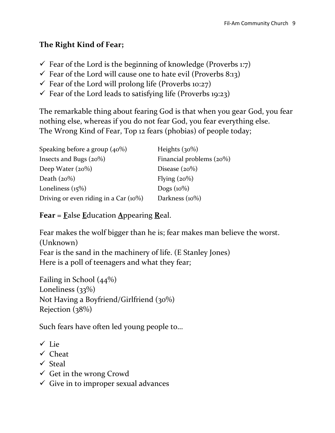#### **The Right Kind of Fear;**

- $\checkmark$  Fear of the Lord is the beginning of knowledge (Proverbs 1:7)
- $\checkmark$  Fear of the Lord will cause one to hate evil (Proverbs 8:13)
- $\checkmark$  Fear of the Lord will prolong life (Proverbs 10:27)
- $\checkmark$  Fear of the Lord leads to satisfying life (Proverbs 19:23)

The remarkable thing about fearing God is that when you gear God, you fear nothing else, whereas if you do not fear God, you fear everything else. The Wrong Kind of Fear, Top 12 fears (phobias) of people today;

| Speaking before a group $(40\%)$         | Heights $(30\%)$            |
|------------------------------------------|-----------------------------|
| Insects and Bugs $(20\%)$                | Financial problems $(20\%)$ |
| Deep Water $(20\%)$                      | Disease $(20\%)$            |
| Death $(20\%)$                           | Flying $(20\%)$             |
| Loneliness $(15%)$                       | Dogs $(10\%)$               |
| Driving or even riding in a Car $(10\%)$ | Darkness $(10\%)$           |

#### **Fear** = **F**alse **E**ducation **A**ppearing **R**eal.

Fear makes the wolf bigger than he is; fear makes man believe the worst. (Unknown) Fear is the sand in the machinery of life. (E Stanley Jones) Here is a poll of teenagers and what they fear;

Failing in School (44%) Loneliness (33%) Not Having a Boyfriend/Girlfriend (30%) Rejection (38%)

Such fears have often led young people to…

- Lie
- $\checkmark$  Cheat
- $\checkmark$  Steal
- $\checkmark$  Get in the wrong Crowd
- $\checkmark$  Give in to improper sexual advances